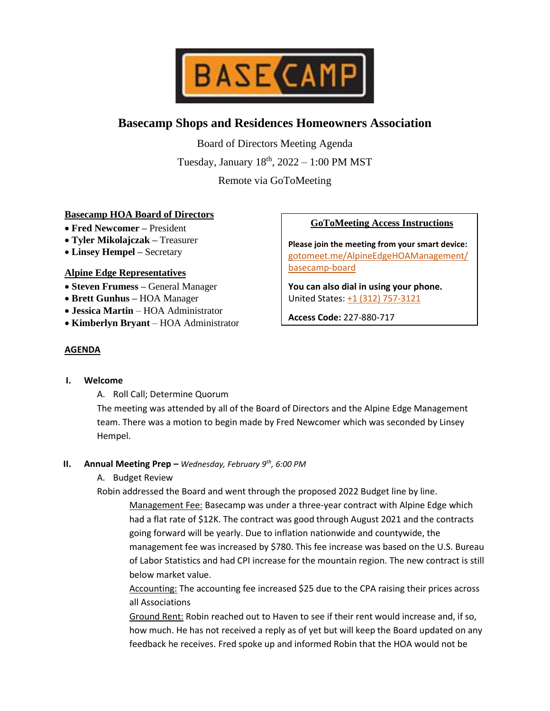

# **Basecamp Shops and Residences Homeowners Association**

Board of Directors Meeting Agenda Tuesday, January  $18<sup>th</sup>$ ,  $2022 - 1:00$  PM MST

Remote via GoToMeeting

## **Basecamp HOA Board of Directors**

- **Fred Newcomer –** President
- **Tyler Mikolajczak –** Treasurer
- **Linsey Hempel –** Secretary

## **Alpine Edge Representatives**

- **Steven Frumess –** General Manager
- **Brett Gunhus –** HOA Manager
- **Jessica Martin**  HOA Administrator
- **Kimberlyn Bryant**  HOA Administrator

# **GoToMeeting Access Instructions**

**Please join the meeting from your smart device:** [gotomeet.me/AlpineEdgeHOAManagement/](https://www.gotomeet.me/AlpineEdgeHOAManagement/basecamp-board) [basecamp-board](https://www.gotomeet.me/AlpineEdgeHOAManagement/basecamp-board)

**You can also dial in using your phone.** United States: [+1 \(312\) 757-3121](tel:+13127573121,,227880717)

**Access Code:** 227-880-717

# **AGENDA**

# **I. Welcome**

A. Roll Call; Determine Quorum

The meeting was attended by all of the Board of Directors and the Alpine Edge Management team. There was a motion to begin made by Fred Newcomer which was seconded by Linsey Hempel.

## **II. Annual Meeting Prep –** *Wednesday, February 9th, 6:00 PM*

A. Budget Review

Robin addressed the Board and went through the proposed 2022 Budget line by line. Management Fee: Basecamp was under a three-year contract with Alpine Edge which had a flat rate of \$12K. The contract was good through August 2021 and the contracts going forward will be yearly. Due to inflation nationwide and countywide, the management fee was increased by \$780. This fee increase was based on the U.S. Bureau of Labor Statistics and had CPI increase for the mountain region. The new contract is still below market value.

Accounting: The accounting fee increased \$25 due to the CPA raising their prices across all Associations

Ground Rent: Robin reached out to Haven to see if their rent would increase and, if so, how much. He has not received a reply as of yet but will keep the Board updated on any feedback he receives. Fred spoke up and informed Robin that the HOA would not be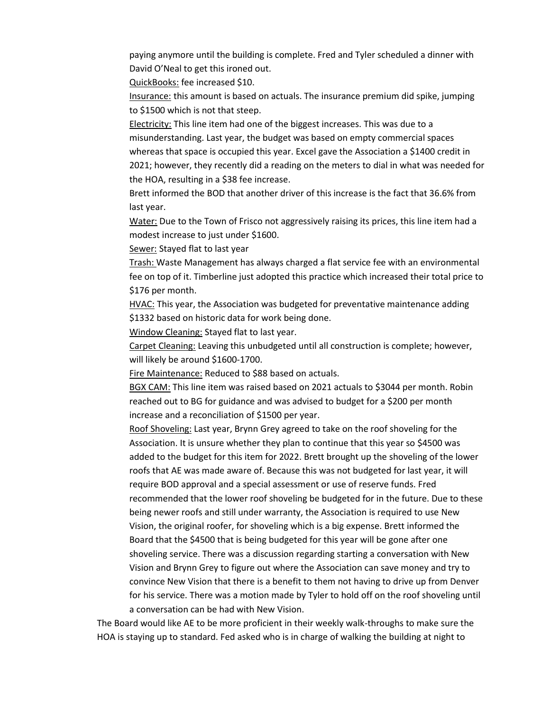paying anymore until the building is complete. Fred and Tyler scheduled a dinner with David O'Neal to get this ironed out.

QuickBooks: fee increased \$10.

Insurance: this amount is based on actuals. The insurance premium did spike, jumping to \$1500 which is not that steep.

Electricity: This line item had one of the biggest increases. This was due to a misunderstanding. Last year, the budget was based on empty commercial spaces whereas that space is occupied this year. Excel gave the Association a \$1400 credit in 2021; however, they recently did a reading on the meters to dial in what was needed for the HOA, resulting in a \$38 fee increase.

Brett informed the BOD that another driver of this increase is the fact that 36.6% from last year.

Water: Due to the Town of Frisco not aggressively raising its prices, this line item had a modest increase to just under \$1600.

Sewer: Stayed flat to last year

Trash: Waste Management has always charged a flat service fee with an environmental fee on top of it. Timberline just adopted this practice which increased their total price to \$176 per month.

**HVAC:** This year, the Association was budgeted for preventative maintenance adding \$1332 based on historic data for work being done.

Window Cleaning: Stayed flat to last year.

Carpet Cleaning: Leaving this unbudgeted until all construction is complete; however, will likely be around \$1600-1700.

Fire Maintenance: Reduced to \$88 based on actuals.

BGX CAM: This line item was raised based on 2021 actuals to \$3044 per month. Robin reached out to BG for guidance and was advised to budget for a \$200 per month increase and a reconciliation of \$1500 per year.

Roof Shoveling: Last year, Brynn Grey agreed to take on the roof shoveling for the Association. It is unsure whether they plan to continue that this year so \$4500 was added to the budget for this item for 2022. Brett brought up the shoveling of the lower roofs that AE was made aware of. Because this was not budgeted for last year, it will require BOD approval and a special assessment or use of reserve funds. Fred recommended that the lower roof shoveling be budgeted for in the future. Due to these being newer roofs and still under warranty, the Association is required to use New Vision, the original roofer, for shoveling which is a big expense. Brett informed the Board that the \$4500 that is being budgeted for this year will be gone after one shoveling service. There was a discussion regarding starting a conversation with New Vision and Brynn Grey to figure out where the Association can save money and try to convince New Vision that there is a benefit to them not having to drive up from Denver for his service. There was a motion made by Tyler to hold off on the roof shoveling until a conversation can be had with New Vision.

The Board would like AE to be more proficient in their weekly walk-throughs to make sure the HOA is staying up to standard. Fed asked who is in charge of walking the building at night to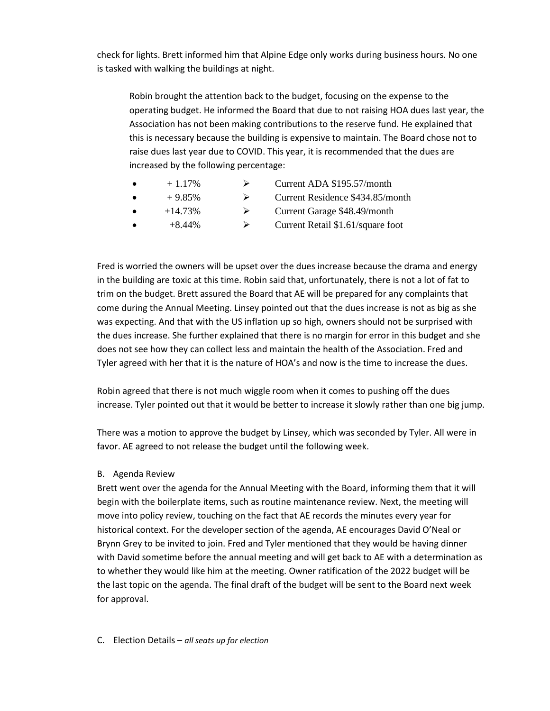check for lights. Brett informed him that Alpine Edge only works during business hours. No one is tasked with walking the buildings at night.

Robin brought the attention back to the budget, focusing on the expense to the operating budget. He informed the Board that due to not raising HOA dues last year, the Association has not been making contributions to the reserve fund. He explained that this is necessary because the building is expensive to maintain. The Board chose not to raise dues last year due to COVID. This year, it is recommended that the dues are increased by the following percentage:

- $+1.17\%$   $\rightarrow$  Current ADA \$195.57/month
- $\bullet$  + 9.85%  $\bullet$  Current Residence \$434.85/month
- $+14.73\%$   $\triangleright$  Current Garage \$48.49/month
	- $+8.44\%$   $\rightarrow$  Current Retail \$1.61/square foot

Fred is worried the owners will be upset over the dues increase because the drama and energy in the building are toxic at this time. Robin said that, unfortunately, there is not a lot of fat to trim on the budget. Brett assured the Board that AE will be prepared for any complaints that come during the Annual Meeting. Linsey pointed out that the dues increase is not as big as she was expecting. And that with the US inflation up so high, owners should not be surprised with the dues increase. She further explained that there is no margin for error in this budget and she does not see how they can collect less and maintain the health of the Association. Fred and Tyler agreed with her that it is the nature of HOA's and now is the time to increase the dues.

Robin agreed that there is not much wiggle room when it comes to pushing off the dues increase. Tyler pointed out that it would be better to increase it slowly rather than one big jump.

There was a motion to approve the budget by Linsey, which was seconded by Tyler. All were in favor. AE agreed to not release the budget until the following week.

## B. Agenda Review

Brett went over the agenda for the Annual Meeting with the Board, informing them that it will begin with the boilerplate items, such as routine maintenance review. Next, the meeting will move into policy review, touching on the fact that AE records the minutes every year for historical context. For the developer section of the agenda, AE encourages David O'Neal or Brynn Grey to be invited to join. Fred and Tyler mentioned that they would be having dinner with David sometime before the annual meeting and will get back to AE with a determination as to whether they would like him at the meeting. Owner ratification of the 2022 budget will be the last topic on the agenda. The final draft of the budget will be sent to the Board next week for approval.

C. Election Details – *all seats up for election*